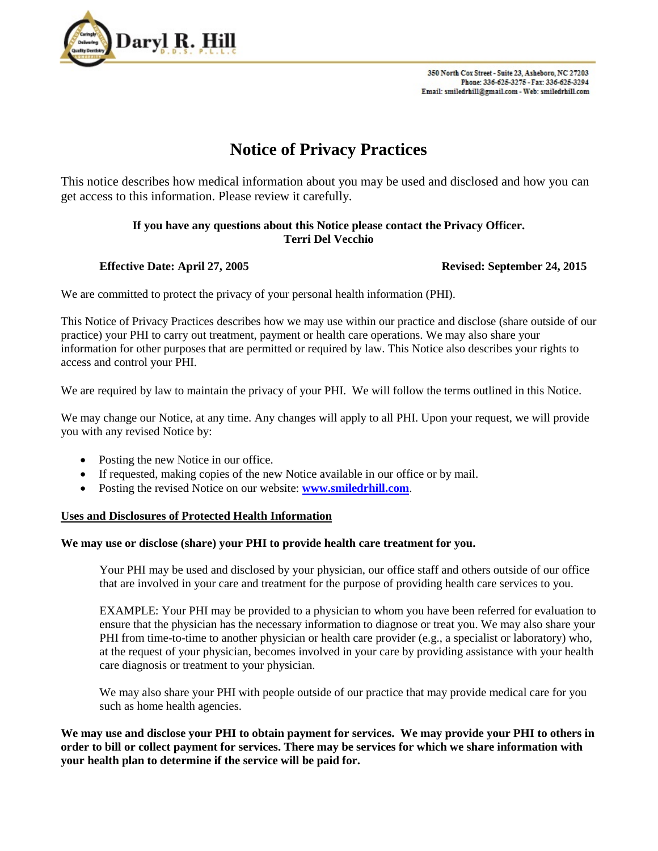

# **Notice of Privacy Practices**

This notice describes how medical information about you may be used and disclosed and how you can get access to this information. Please review it carefully.

# **If you have any questions about this Notice please contact the Privacy Officer. Terri Del Vecchio**

# **Effective Date: April 27, 2005** Revised: September 24, 2015

We are committed to protect the privacy of your personal health information (PHI).

This Notice of Privacy Practices describes how we may use within our practice and disclose (share outside of our practice) your PHI to carry out treatment, payment or health care operations. We may also share your information for other purposes that are permitted or required by law. This Notice also describes your rights to access and control your PHI.

We are required by law to maintain the privacy of your PHI. We will follow the terms outlined in this Notice.

We may change our Notice, at any time. Any changes will apply to all PHI. Upon your request, we will provide you with any revised Notice by:

- Posting the new Notice in our office.
- If requested, making copies of the new Notice available in our office or by mail.
- Posting the revised Notice on our website: **[www.smiledrhill.com](http://www.smiledrhill.com/)**.

## **Uses and Disclosures of Protected Health Information**

#### **We may use or disclose (share) your PHI to provide health care treatment for you.**

Your PHI may be used and disclosed by your physician, our office staff and others outside of our office that are involved in your care and treatment for the purpose of providing health care services to you.

EXAMPLE: Your PHI may be provided to a physician to whom you have been referred for evaluation to ensure that the physician has the necessary information to diagnose or treat you. We may also share your PHI from time-to-time to another physician or health care provider (e.g., a specialist or laboratory) who, at the request of your physician, becomes involved in your care by providing assistance with your health care diagnosis or treatment to your physician.

We may also share your PHI with people outside of our practice that may provide medical care for you such as home health agencies.

**We may use and disclose your PHI to obtain payment for services. We may provide your PHI to others in order to bill or collect payment for services. There may be services for which we share information with your health plan to determine if the service will be paid for.**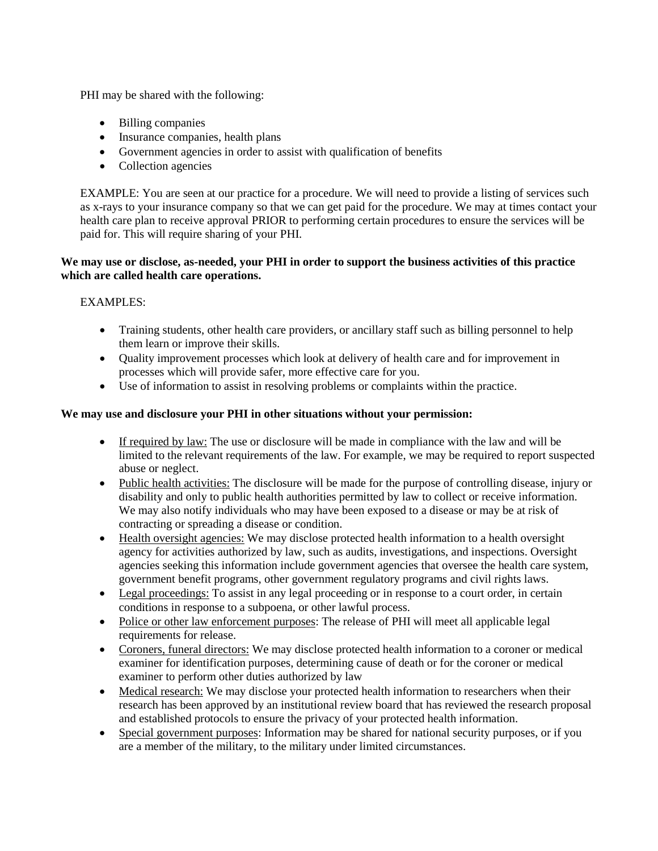PHI may be shared with the following:

- Billing companies
- Insurance companies, health plans
- Government agencies in order to assist with qualification of benefits
- Collection agencies

EXAMPLE: You are seen at our practice for a procedure. We will need to provide a listing of services such as x-rays to your insurance company so that we can get paid for the procedure. We may at times contact your health care plan to receive approval PRIOR to performing certain procedures to ensure the services will be paid for. This will require sharing of your PHI.

## **We may use or disclose, as-needed, your PHI in order to support the business activities of this practice which are called health care operations.**

## EXAMPLES:

- Training students, other health care providers, or ancillary staff such as billing personnel to help them learn or improve their skills.
- Quality improvement processes which look at delivery of health care and for improvement in processes which will provide safer, more effective care for you.
- Use of information to assist in resolving problems or complaints within the practice.

## **We may use and disclosure your PHI in other situations without your permission:**

- If required by law: The use or disclosure will be made in compliance with the law and will be limited to the relevant requirements of the law. For example, we may be required to report suspected abuse or neglect.
- Public health activities: The disclosure will be made for the purpose of controlling disease, injury or disability and only to public health authorities permitted by law to collect or receive information. We may also notify individuals who may have been exposed to a disease or may be at risk of contracting or spreading a disease or condition.
- Health oversight agencies: We may disclose protected health information to a health oversight agency for activities authorized by law, such as audits, investigations, and inspections. Oversight agencies seeking this information include government agencies that oversee the health care system, government benefit programs, other government regulatory programs and civil rights laws.
- Legal proceedings: To assist in any legal proceeding or in response to a court order, in certain conditions in response to a subpoena, or other lawful process.
- Police or other law enforcement purposes: The release of PHI will meet all applicable legal requirements for release.
- Coroners, funeral directors: We may disclose protected health information to a coroner or medical examiner for identification purposes, determining cause of death or for the coroner or medical examiner to perform other duties authorized by law
- Medical research: We may disclose your protected health information to researchers when their research has been approved by an institutional review board that has reviewed the research proposal and established protocols to ensure the privacy of your protected health information.
- Special government purposes: Information may be shared for national security purposes, or if you are a member of the military, to the military under limited circumstances.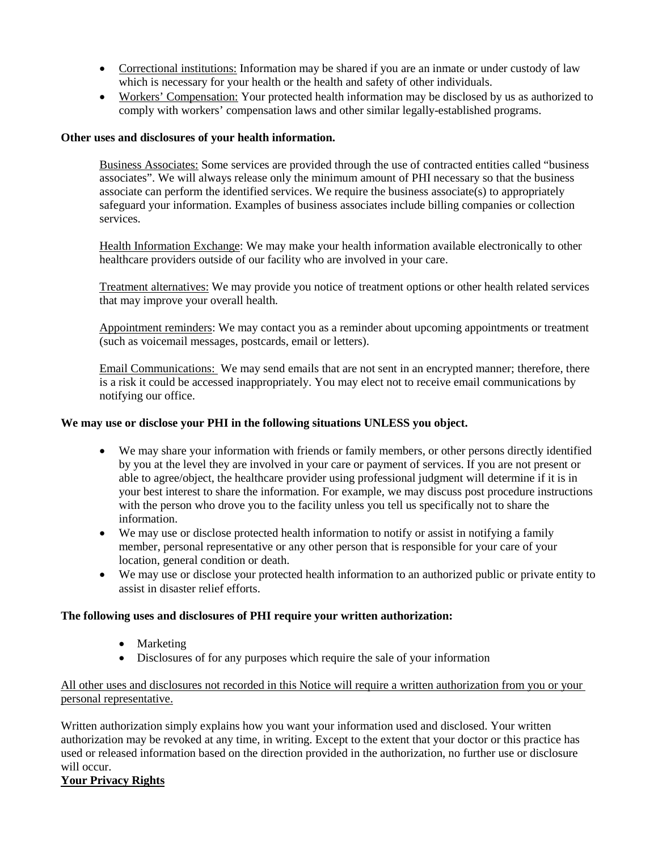- Correctional institutions: Information may be shared if you are an inmate or under custody of law which is necessary for your health or the health and safety of other individuals.
- Workers' Compensation: Your protected health information may be disclosed by us as authorized to comply with workers' compensation laws and other similar legally-established programs.

## **Other uses and disclosures of your health information.**

Business Associates: Some services are provided through the use of contracted entities called "business associates". We will always release only the minimum amount of PHI necessary so that the business associate can perform the identified services. We require the business associate(s) to appropriately safeguard your information. Examples of business associates include billing companies or collection services.

Health Information Exchange: We may make your health information available electronically to other healthcare providers outside of our facility who are involved in your care.

Treatment alternatives: We may provide you notice of treatment options or other health related services that may improve your overall health.

Appointment reminders: We may contact you as a reminder about upcoming appointments or treatment (such as voicemail messages, postcards, email or letters).

Email Communications: We may send emails that are not sent in an encrypted manner; therefore, there is a risk it could be accessed inappropriately. You may elect not to receive email communications by notifying our office.

## **We may use or disclose your PHI in the following situations UNLESS you object.**

- We may share your information with friends or family members, or other persons directly identified by you at the level they are involved in your care or payment of services. If you are not present or able to agree/object, the healthcare provider using professional judgment will determine if it is in your best interest to share the information. For example, we may discuss post procedure instructions with the person who drove you to the facility unless you tell us specifically not to share the information.
- We may use or disclose protected health information to notify or assist in notifying a family member, personal representative or any other person that is responsible for your care of your location, general condition or death.
- We may use or disclose your protected health information to an authorized public or private entity to assist in disaster relief efforts.

## **The following uses and disclosures of PHI require your written authorization:**

- Marketing
- Disclosures of for any purposes which require the sale of your information

# All other uses and disclosures not recorded in this Notice will require a written authorization from you or your personal representative.

Written authorization simply explains how you want your information used and disclosed. Your written authorization may be revoked at any time, in writing. Except to the extent that your doctor or this practice has used or released information based on the direction provided in the authorization, no further use or disclosure will occur.

## **Your Privacy Rights**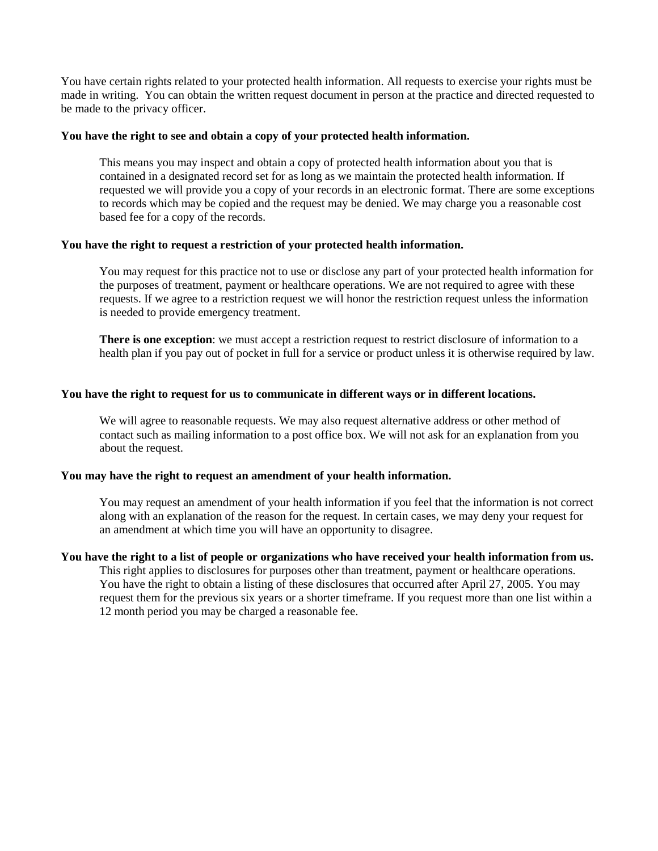You have certain rights related to your protected health information. All requests to exercise your rights must be made in writing. You can obtain the written request document in person at the practice and directed requested to be made to the privacy officer.

#### **You have the right to see and obtain a copy of your protected health information.**

This means you may inspect and obtain a copy of protected health information about you that is contained in a designated record set for as long as we maintain the protected health information. If requested we will provide you a copy of your records in an electronic format. There are some exceptions to records which may be copied and the request may be denied. We may charge you a reasonable cost based fee for a copy of the records.

#### **You have the right to request a restriction of your protected health information.**

You may request for this practice not to use or disclose any part of your protected health information for the purposes of treatment, payment or healthcare operations. We are not required to agree with these requests. If we agree to a restriction request we will honor the restriction request unless the information is needed to provide emergency treatment.

**There is one exception**: we must accept a restriction request to restrict disclosure of information to a health plan if you pay out of pocket in full for a service or product unless it is otherwise required by law.

#### **You have the right to request for us to communicate in different ways or in different locations.**

We will agree to reasonable requests. We may also request alternative address or other method of contact such as mailing information to a post office box. We will not ask for an explanation from you about the request.

#### **You may have the right to request an amendment of your health information.**

You may request an amendment of your health information if you feel that the information is not correct along with an explanation of the reason for the request. In certain cases, we may deny your request for an amendment at which time you will have an opportunity to disagree.

#### **You have the right to a list of people or organizations who have received your health information from us.**

This right applies to disclosures for purposes other than treatment, payment or healthcare operations. You have the right to obtain a listing of these disclosures that occurred after April 27, 2005. You may request them for the previous six years or a shorter timeframe. If you request more than one list within a 12 month period you may be charged a reasonable fee.